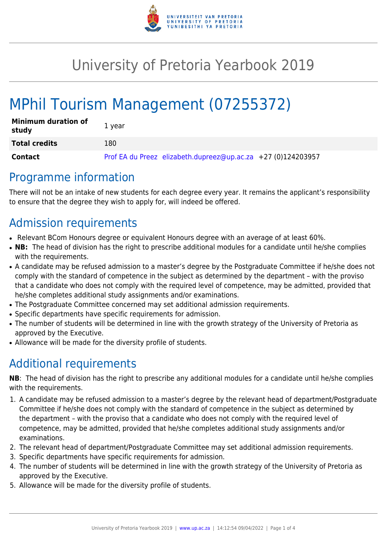

## University of Pretoria Yearbook 2019

# MPhil Tourism Management (07255372)

| <b>Minimum duration of</b><br>study | 1 year                                                       |
|-------------------------------------|--------------------------------------------------------------|
| <b>Total credits</b>                | 180                                                          |
| Contact                             | Prof EA du Preez elizabeth.dupreez@up.ac.za +27 (0)124203957 |

### Programme information

There will not be an intake of new students for each degree every year. It remains the applicant's responsibility to ensure that the degree they wish to apply for, will indeed be offered.

## Admission requirements

- Relevant BCom Honours degree or equivalent Honours degree with an average of at least 60%.
- NB: The head of division has the right to prescribe additional modules for a candidate until he/she complies with the requirements.
- A candidate may be refused admission to a master's degree by the Postgraduate Committee if he/she does not comply with the standard of competence in the subject as determined by the department – with the proviso that a candidate who does not comply with the required level of competence, may be admitted, provided that he/she completes additional study assignments and/or examinations.
- The Postgraduate Committee concerned may set additional admission requirements.
- Specific departments have specific requirements for admission.
- The number of students will be determined in line with the growth strategy of the University of Pretoria as approved by the Executive.
- Allowance will be made for the diversity profile of students.

## Additional requirements

**NB**: The head of division has the right to prescribe any additional modules for a candidate until he/she complies with the requirements.

- 1. A candidate may be refused admission to a master's degree by the relevant head of department/Postgraduate Committee if he/she does not comply with the standard of competence in the subject as determined by the department – with the proviso that a candidate who does not comply with the required level of competence, may be admitted, provided that he/she completes additional study assignments and/or examinations.
- 2. The relevant head of department/Postgraduate Committee may set additional admission requirements.
- 3. Specific departments have specific requirements for admission.
- 4. The number of students will be determined in line with the growth strategy of the University of Pretoria as approved by the Executive.
- 5. Allowance will be made for the diversity profile of students.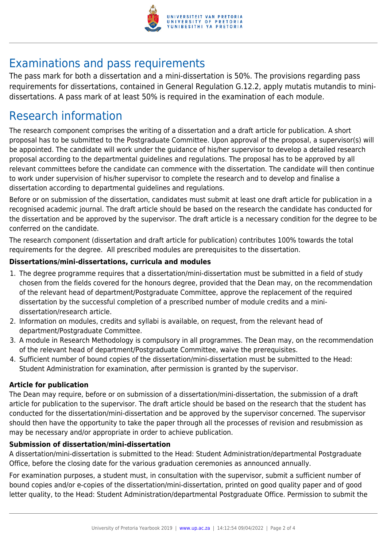

### Examinations and pass requirements

The pass mark for both a dissertation and a mini-dissertation is 50%. The provisions regarding pass requirements for dissertations, contained in General Regulation G.12.2, apply mutatis mutandis to minidissertations. A pass mark of at least 50% is required in the examination of each module.

### Research information

The research component comprises the writing of a dissertation and a draft article for publication. A short proposal has to be submitted to the Postgraduate Committee. Upon approval of the proposal, a supervisor(s) will be appointed. The candidate will work under the guidance of his/her supervisor to develop a detailed research proposal according to the departmental guidelines and regulations. The proposal has to be approved by all relevant committees before the candidate can commence with the dissertation. The candidate will then continue to work under supervision of his/her supervisor to complete the research and to develop and finalise a dissertation according to departmental guidelines and regulations.

Before or on submission of the dissertation, candidates must submit at least one draft article for publication in a recognised academic journal. The draft article should be based on the research the candidate has conducted for the dissertation and be approved by the supervisor. The draft article is a necessary condition for the degree to be conferred on the candidate.

The research component (dissertation and draft article for publication) contributes 100% towards the total requirements for the degree. All prescribed modules are prerequisites to the dissertation.

#### **Dissertations/mini-dissertations, curricula and modules**

- 1. The degree programme requires that a dissertation/mini-dissertation must be submitted in a field of study chosen from the fields covered for the honours degree, provided that the Dean may, on the recommendation of the relevant head of department/Postgraduate Committee, approve the replacement of the required dissertation by the successful completion of a prescribed number of module credits and a minidissertation/research article.
- 2. Information on modules, credits and syllabi is available, on request, from the relevant head of department/Postgraduate Committee.
- 3. A module in Research Methodology is compulsory in all programmes. The Dean may, on the recommendation of the relevant head of department/Postgraduate Committee, waive the prerequisites.
- 4. Sufficient number of bound copies of the dissertation/mini-dissertation must be submitted to the Head: Student Administration for examination, after permission is granted by the supervisor.

#### **Article for publication**

The Dean may require, before or on submission of a dissertation/mini-dissertation, the submission of a draft article for publication to the supervisor. The draft article should be based on the research that the student has conducted for the dissertation/mini-dissertation and be approved by the supervisor concerned. The supervisor should then have the opportunity to take the paper through all the processes of revision and resubmission as may be necessary and/or appropriate in order to achieve publication.

#### **Submission of dissertation/mini-dissertation**

A dissertation/mini-dissertation is submitted to the Head: Student Administration/departmental Postgraduate Office, before the closing date for the various graduation ceremonies as announced annually.

For examination purposes, a student must, in consultation with the supervisor, submit a sufficient number of bound copies and/or e-copies of the dissertation/mini-dissertation, printed on good quality paper and of good letter quality, to the Head: Student Administration/departmental Postgraduate Office. Permission to submit the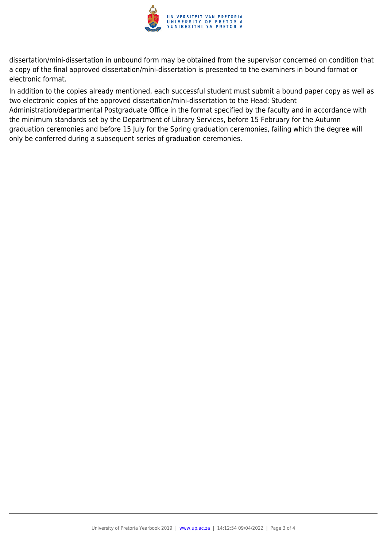

dissertation/mini-dissertation in unbound form may be obtained from the supervisor concerned on condition that a copy of the final approved dissertation/mini-dissertation is presented to the examiners in bound format or electronic format.

In addition to the copies already mentioned, each successful student must submit a bound paper copy as well as two electronic copies of the approved dissertation/mini-dissertation to the Head: Student Administration/departmental Postgraduate Office in the format specified by the faculty and in accordance with the minimum standards set by the Department of Library Services, before 15 February for the Autumn graduation ceremonies and before 15 July for the Spring graduation ceremonies, failing which the degree will only be conferred during a subsequent series of graduation ceremonies.